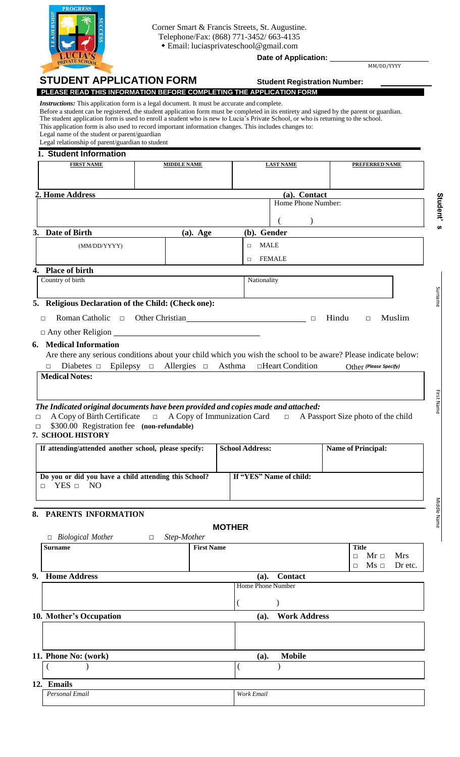

Corner Smart & Francis Streets, St. Augustine. Telephone/Fax: (868) 771-3452/ 663-4135 Email: [luciasprivateschool@gmail.com](mailto:luciasprivateschool@gmail.com)

**Date of Application:** 

MM/DD/YYYY

|                                                                                                                                                                                                                                                                                                                                                                                                                                                                                                                                                                                                                                                                        |                             |                                                                                                               | MM/DD/YYYY                                                                                                      |
|------------------------------------------------------------------------------------------------------------------------------------------------------------------------------------------------------------------------------------------------------------------------------------------------------------------------------------------------------------------------------------------------------------------------------------------------------------------------------------------------------------------------------------------------------------------------------------------------------------------------------------------------------------------------|-----------------------------|---------------------------------------------------------------------------------------------------------------|-----------------------------------------------------------------------------------------------------------------|
| <b>STUDENT APPLICATION FORM</b>                                                                                                                                                                                                                                                                                                                                                                                                                                                                                                                                                                                                                                        |                             |                                                                                                               | <b>Student Registration Number:</b>                                                                             |
| PLEASE READ THIS INFORMATION BEFORE COMPLETING THE APPLICATION FORM<br><i>Instructions:</i> This application form is a legal document. It must be accurate and complete.<br>Before a student can be registered, the student application form must be completed in its entirety and signed by the parent or guardian.<br>The student application form is used to enroll a student who is new to Lucia's Private School, or who is returning to the school.<br>This application form is also used to record important information changes. This includes changes to:<br>Legal name of the student or parent/guardian<br>Legal relationship of parent/guardian to student |                             |                                                                                                               |                                                                                                                 |
| 1. Student Information                                                                                                                                                                                                                                                                                                                                                                                                                                                                                                                                                                                                                                                 |                             |                                                                                                               |                                                                                                                 |
| <b>FIRST NAME</b>                                                                                                                                                                                                                                                                                                                                                                                                                                                                                                                                                                                                                                                      | <b>MIDDLE NAME</b>          | <b>LAST NAME</b>                                                                                              | <b>PREFERRED NAME</b>                                                                                           |
|                                                                                                                                                                                                                                                                                                                                                                                                                                                                                                                                                                                                                                                                        |                             |                                                                                                               |                                                                                                                 |
|                                                                                                                                                                                                                                                                                                                                                                                                                                                                                                                                                                                                                                                                        |                             |                                                                                                               |                                                                                                                 |
| 2. Home Address                                                                                                                                                                                                                                                                                                                                                                                                                                                                                                                                                                                                                                                        |                             |                                                                                                               | (a). Contact<br>Home Phone Number:                                                                              |
|                                                                                                                                                                                                                                                                                                                                                                                                                                                                                                                                                                                                                                                                        |                             |                                                                                                               |                                                                                                                 |
| 3. Date of Birth                                                                                                                                                                                                                                                                                                                                                                                                                                                                                                                                                                                                                                                       |                             | (b). Gender                                                                                                   |                                                                                                                 |
|                                                                                                                                                                                                                                                                                                                                                                                                                                                                                                                                                                                                                                                                        | $(a)$ . Age                 | <b>MALE</b>                                                                                                   |                                                                                                                 |
| (MM/DD/YYYY)                                                                                                                                                                                                                                                                                                                                                                                                                                                                                                                                                                                                                                                           |                             | $\Box$                                                                                                        |                                                                                                                 |
| 4. Place of birth                                                                                                                                                                                                                                                                                                                                                                                                                                                                                                                                                                                                                                                      |                             | <b>FEMALE</b><br>$\Box$                                                                                       |                                                                                                                 |
| Country of birth                                                                                                                                                                                                                                                                                                                                                                                                                                                                                                                                                                                                                                                       |                             | Nationality                                                                                                   |                                                                                                                 |
|                                                                                                                                                                                                                                                                                                                                                                                                                                                                                                                                                                                                                                                                        |                             |                                                                                                               |                                                                                                                 |
| 5. Religious Declaration of the Child: (Check one):                                                                                                                                                                                                                                                                                                                                                                                                                                                                                                                                                                                                                    |                             |                                                                                                               |                                                                                                                 |
| Roman Catholic $\Box$<br>□                                                                                                                                                                                                                                                                                                                                                                                                                                                                                                                                                                                                                                             |                             | Other Christian Delta Changes and Christian Christian Delta Christian Christian Christian Christian Christian | Hindu<br>Muslim<br>$\Box$<br>$\Box$                                                                             |
| $\Box$ Any other Religion $\Box$                                                                                                                                                                                                                                                                                                                                                                                                                                                                                                                                                                                                                                       |                             |                                                                                                               |                                                                                                                 |
|                                                                                                                                                                                                                                                                                                                                                                                                                                                                                                                                                                                                                                                                        |                             |                                                                                                               |                                                                                                                 |
| <b>6. Medical Information</b>                                                                                                                                                                                                                                                                                                                                                                                                                                                                                                                                                                                                                                          |                             |                                                                                                               |                                                                                                                 |
|                                                                                                                                                                                                                                                                                                                                                                                                                                                                                                                                                                                                                                                                        |                             |                                                                                                               | Are there any serious conditions about your child which you wish the school to be aware? Please indicate below: |
| Diabetes $\Box$ Epilepsy $\Box$<br>П                                                                                                                                                                                                                                                                                                                                                                                                                                                                                                                                                                                                                                   | Allergies $\Box$ Asthma     | □Heart Condition                                                                                              | Other (Please Specify)                                                                                          |
| A Copy of Birth Certificate<br>$\Box$<br>\$300.00 Registration fee (non-refundable)                                                                                                                                                                                                                                                                                                                                                                                                                                                                                                                                                                                    | A Copy of Immunization Card | $\Box$                                                                                                        | A Passport Size photo of the child                                                                              |
|                                                                                                                                                                                                                                                                                                                                                                                                                                                                                                                                                                                                                                                                        |                             |                                                                                                               |                                                                                                                 |
|                                                                                                                                                                                                                                                                                                                                                                                                                                                                                                                                                                                                                                                                        |                             | <b>School Address:</b>                                                                                        | <b>Name of Principal:</b>                                                                                       |
|                                                                                                                                                                                                                                                                                                                                                                                                                                                                                                                                                                                                                                                                        |                             |                                                                                                               |                                                                                                                 |
|                                                                                                                                                                                                                                                                                                                                                                                                                                                                                                                                                                                                                                                                        |                             | If "YES" Name of child:                                                                                       |                                                                                                                 |
| $YES$ $\square$<br>NO                                                                                                                                                                                                                                                                                                                                                                                                                                                                                                                                                                                                                                                  |                             |                                                                                                               |                                                                                                                 |
|                                                                                                                                                                                                                                                                                                                                                                                                                                                                                                                                                                                                                                                                        |                             |                                                                                                               |                                                                                                                 |
| <b>Medical Notes:</b><br>The Indicated original documents have been provided and copies made and attached:<br>7. SCHOOL HISTORY<br>If attending/attended another school, please specify:<br>Do you or did you have a child attending this School?<br>П.<br>8. PARENTS INFORMATION                                                                                                                                                                                                                                                                                                                                                                                      |                             |                                                                                                               |                                                                                                                 |
|                                                                                                                                                                                                                                                                                                                                                                                                                                                                                                                                                                                                                                                                        |                             | <b>MOTHER</b>                                                                                                 |                                                                                                                 |
| $\Box$ Biological Mother<br>$\Box$                                                                                                                                                                                                                                                                                                                                                                                                                                                                                                                                                                                                                                     | Step-Mother                 |                                                                                                               |                                                                                                                 |
|                                                                                                                                                                                                                                                                                                                                                                                                                                                                                                                                                                                                                                                                        | <b>First Name</b>           |                                                                                                               | <b>Title</b><br><b>Mrs</b><br>$Mr \Box$<br>□                                                                    |
|                                                                                                                                                                                                                                                                                                                                                                                                                                                                                                                                                                                                                                                                        |                             |                                                                                                               | $Ms \Box$<br>Dr etc.<br>□                                                                                       |
|                                                                                                                                                                                                                                                                                                                                                                                                                                                                                                                                                                                                                                                                        |                             | <b>Contact</b><br>(a).                                                                                        |                                                                                                                 |
|                                                                                                                                                                                                                                                                                                                                                                                                                                                                                                                                                                                                                                                                        |                             | Home Phone Number                                                                                             |                                                                                                                 |
|                                                                                                                                                                                                                                                                                                                                                                                                                                                                                                                                                                                                                                                                        |                             | $\lambda$                                                                                                     |                                                                                                                 |
|                                                                                                                                                                                                                                                                                                                                                                                                                                                                                                                                                                                                                                                                        |                             |                                                                                                               | <b>Work Address</b>                                                                                             |
|                                                                                                                                                                                                                                                                                                                                                                                                                                                                                                                                                                                                                                                                        |                             | (a).                                                                                                          |                                                                                                                 |
|                                                                                                                                                                                                                                                                                                                                                                                                                                                                                                                                                                                                                                                                        |                             |                                                                                                               |                                                                                                                 |
|                                                                                                                                                                                                                                                                                                                                                                                                                                                                                                                                                                                                                                                                        |                             |                                                                                                               |                                                                                                                 |
| <b>Surname</b><br>9. Home Address<br>10. Mother's Occupation<br>11. Phone No: (work)                                                                                                                                                                                                                                                                                                                                                                                                                                                                                                                                                                                   |                             | <b>Mobile</b><br>(a).                                                                                         |                                                                                                                 |

| 1 <sub>1</sub><br> |         |                                    |
|--------------------|---------|------------------------------------|
|                    | mа<br>. | H.<br>$1 - 2 - 3 - 7$<br>$ -$<br>m |